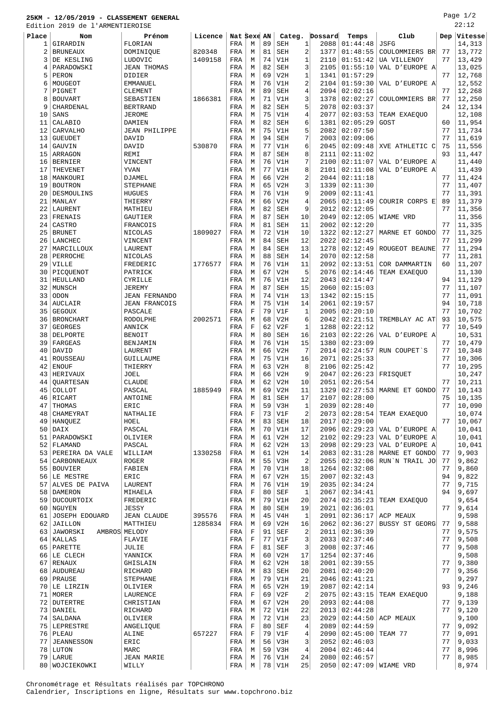## **25KM - 12/05/2019 - CLASSEMENT GENERAL** Edition 2019 de l'ARMENTIEROISE

| Place | Nom               | Prénom               | Licence | Nat Sexe AN |             |    | Categ.     |                | Dossard | Temps           | Club                      | Dep | Vitesse |
|-------|-------------------|----------------------|---------|-------------|-------------|----|------------|----------------|---------|-----------------|---------------------------|-----|---------|
| 1     | GIRARDIN          | FLORIAN              |         | FRA         | М           | 89 | <b>SEH</b> | 1              | 2088    | 01:44:48        | JSFG                      |     | 14,313  |
| 2     | <b>BRUNEAUX</b>   | DOMINIQUE            | 820348  | FRA         | M           | 81 | <b>SEH</b> | 2              | 1377    | 01:48:55        | COULOMMIERS BR            | 77  | 13,772  |
| 3     | DE KESLING        | LUDOVIC              | 1409158 | FRA         | M           | 74 | V1H        | $\mathbf{1}$   | 2110    | 01:51:42        | UA VILLENOY               | 77  | 13,429  |
| 4     | PARADOWSKI        | <b>JEAN THOMAS</b>   |         | FRA         | М           | 82 | <b>SEH</b> | 3              | 2105    | 01:55:10        | VAL D'EUROPE A'           |     | 13,025  |
| 5     | PERON             | DIDIER               |         | FRA         | М           | 69 | V2H        | 1              | 1341    | 01:57:29        |                           | 77  | 12,768  |
| 6     | MOUGEOT           | <b>EMMANUEL</b>      |         | FRA         | М           | 76 | V1H        | 2              | 2104    | 01:59:30        | VAL D'EUROPE A'           |     | 12,552  |
| 7     | PIGNET            | CLEMENT              |         | FRA         | М           | 89 | <b>SEH</b> | 4              | 2094    | 02:02:16        |                           | 77  | 12,268  |
| 8     | <b>BOUVART</b>    | SEBASTIEN            | 1866381 | FRA         | M           | 71 | V1H        | 3              | 1378    | 02:02:27        | COULOMMIERS BR            | 77  | 12,250  |
| 9     | CHARDENAL         | <b>BERTRAND</b>      |         |             | М           | 82 | <b>SEH</b> | 5              | 2078    | 02:03:37        |                           | 24  | 12,134  |
|       |                   |                      |         | FRA         |             |    |            |                |         |                 |                           |     |         |
| 10    | SANS              | <b>JEROME</b>        |         | FRA         | М           | 75 | V1H        | 4              | 2077    | 02:03:53        | TEAM EXAEQUO              |     | 12,108  |
| 11    | CALABIO           | <b>DAMIEN</b>        |         | FRA         | M           | 82 | <b>SEH</b> | 6              | 1381    | 02:05:29        | GOST                      | 60  | 11,954  |
| 12    | CARVALHO          | <b>JEAN PHILIPPE</b> |         | FRA         | M           | 75 | V1H        | 5              | 2082    | 02:07:50        |                           | 77  | 11,734  |
| 13    | <b>GUEUDET</b>    | DAVID                |         | FRA         | М           | 94 | <b>SEH</b> | 7              | 2003    | 02:09:06        |                           | 77  | 11,619  |
| 14    | GAUVIN            | DAVID                | 530870  | FRA         | М           | 77 | V1H        | 6              | 2045    | 02:09:48        | XVE ATHLETIC C            | 75  | 11,556  |
| 15    | ARRAGON           | REMI                 |         | FRA         | М           | 87 | <b>SEH</b> | 8              | 2111    | 02:11:02        |                           | 93  | 11,447  |
| 16    | <b>BERNIER</b>    | VINCENT              |         | FRA         | М           | 76 | V1H        | 7              | 2100    | 02:11:07        | VAL D'EUROPE A'           |     | 11,440  |
| 17    | THEVENET          | YVAN                 |         | FRA         | М           | 77 | V1H        | 8              | 2101    | 02:11:08        | VAL D'EUROPE A'           |     | 11,439  |
| 18    | MANKOURI          | DJAMEL               |         | FRA         | М           | 66 | V2H        | 2              | 2044    | 02:11:18        |                           | 77  | 11,424  |
| 19    | <b>BOUTRON</b>    | <b>STEPHANE</b>      |         | FRA         | М           | 65 | V2H        | 3              | 1339    | 02:11:30        |                           | 77  | 11,407  |
|       |                   |                      |         |             |             | 76 | V1H        | 9              | 2009    | 02:11:41        |                           | 77  |         |
| 20    | DESMOULINS        | <b>HUGUES</b>        |         | FRA         | М           |    |            |                |         |                 |                           |     | 11,391  |
| 21    | MANLAY            | THIERRY              |         | FRA         | М           | 66 | V2H        | 4              | 2065    | 02:11:49        | <b>COURIR CORPS E</b>     | 89  | 11,379  |
| 22    | LAURENT           | MATHIEU              |         | FRA         | М           | 82 | <b>SEH</b> | 9              | 2012    | 02:12:05        |                           | 77  | 11,356  |
| 23    | FRENAIS           | GAUTIER              |         | FRA         | М           | 87 | <b>SEH</b> | 10             | 2049    | 02:12:05        | WIAME VRD                 |     | 11,356  |
| 24    | CASTRO            | FRANCOIS             |         | FRA         | М           | 81 | <b>SEH</b> | 11             | 2002    | 02:12:20        |                           | 77  | 11,335  |
| 25    | <b>BRUNET</b>     | NICOLAS              | 1809027 | FRA         | М           | 72 | V1H        | 10             | 1322    | 02:12:27        | MARNE ET GONDO            | 77  | 11,325  |
| 26    | LANCHEC           | VINCENT              |         | FRA         | М           | 84 | <b>SEH</b> | 12             | 2022    | 02:12:45        |                           | 77  | 11,299  |
| 27    | MARCILLOUX        | LAURENT              |         | FRA         | М           | 84 | <b>SEH</b> | 13             | 1278    | 02:12:49        | ROUGEOT BEAUNE            | 77  | 11,294  |
| 28    | PERROCHE          | NICOLAS              |         | FRA         | M           | 88 | <b>SEH</b> | 14             | 2070    | 02:12:58        |                           | 77  | 11,281  |
| 29    | VILLE             | FREDERIC             | 1776577 | FRA         | М           | 76 | V1H        | 11             | 2092    | 02:13:51        | COR DAMMARTIN             | 60  | 11,207  |
| 30    | PICQUENOT         | PATRICK              |         | FRA         | М           | 67 | V2H        | 5              | 2076    | 02:14:46        | TEAM EXAEQUO              |     | 11,130  |
|       |                   |                      |         |             |             | 76 |            |                |         |                 |                           |     |         |
| 31    | HEULLAND          | CYRILLE              |         | FRA         | М           |    | V1H        | 12             | 2043    | 02:14:47        |                           | 94  | 11,129  |
| 32    | MUNSCH            | <b>JEREMY</b>        |         | FRA         | М           | 87 | <b>SEH</b> | 15             | 2060    | 02:15:03        |                           | 77  | 11,107  |
| 33    | ODON              | <b>JEAN FERNANDO</b> |         | FRA         | М           | 74 | V1H        | 13             | 1342    | 02:15:15        |                           | 77  | 11,091  |
| 34    | AUCLAIR           | <b>JEAN FRANCOIS</b> |         | FRA         | М           | 75 | V1H        | 14             | 2061    | 02:19:57        |                           | 94  | 10,718  |
| 35    | <b>GEGOUX</b>     | PASCALE              |         | FRA         | $\mathbf F$ | 79 | V1F        | $\mathbf{1}$   | 2005    | 02:20:10        |                           | 77  | 10,702  |
| 36    | <b>BRONCHART</b>  | RODOLPHE             | 2002571 | FRA         | М           | 68 | V2H        | 6              | 2042    | 02:21:51        | TREMBLAY AC AT            | 93  | 10,575  |
| 37    | <b>GEORGES</b>    | ANNICK               |         | FRA         | $\mathbf F$ | 62 | V2F        | $\mathbf{1}$   | 1288    | 02:22:12        |                           | 77  | 10,549  |
| 38    | DELPORTE          | <b>BENOIT</b>        |         | FRA         | М           | 80 | <b>SEH</b> | 16             | 2103    | 02:22:26        | VAL D'EUROPE A'           |     | 10,531  |
| 39    | FARGEAS           | BENJAMIN             |         | FRA         | М           | 76 | V1H        | 15             | 1380    | 02:23:09        |                           | 77  | 10,479  |
| 40    | DAVID             | LAURENT              |         | FRA         | М           | 66 | V2H        | 7              | 2014    | 02:24:57        | RUN COUPET'S              | 77  | 10,348  |
| 41    | ROUSSEAU          | GUILLAUME            |         | FRA         | М           | 75 | V1H        | 16             | 2071    | 02:25:33        |                           | 77  | 10,306  |
| 42    | <b>ENOUF</b>      | THIERRY              |         | FRA         | М           | 63 | V2H        | 8              | 2106    | 02:25:42        |                           | 77  | 10,295  |
|       | <b>HERIVAUX</b>   |                      |         |             |             |    | V2H        | 9              |         | 02:26:23        |                           |     |         |
| 43    |                   | JOEL                 |         | FRA         | М           | 66 |            |                | 2047    |                 | FRISQUET                  |     | 10,247  |
| 44    | QUARTESAN         | <b>CLAUDE</b>        |         | FRA         | M           | 62 | V2H        | 10             | 2051    | 02:26:54        |                           | 77  | 10,211  |
| 45    | COLLOT            | PASCAL               | 1885949 | FRA         | M           | 69 | V2H        | 11             | 1329    | 02:27:53        | MARNE ET GONDO            | 77  | 10,143  |
| 46    | RICART            | ANTOINE              |         | FRA         | М           | 81 | SEH        | 17             | 2107    | 02:28:00        |                           | 75  | 10,135  |
| 47    | THOMAS            | ERIC                 |         | FRA         | М           | 59 | V3H        | $\mathbf{1}$   |         | 2039   02:28:40 |                           | 77  | 10,090  |
| 48    | CHAMEYRAT         | NATHALIE             |         | FRA         | F           | 73 | V1F        | 2              |         | 2073   02:28:54 | TEAM EXAEQUO              |     | 10,074  |
| 49    | HANQUEZ           | HOEL                 |         | FRA         | М           | 83 | SEH        | 18             | 2017    | 02:29:00        |                           | 77  | 10,067  |
| 50    | DAIX              | PASCAL               |         | FRA         | М           | 70 | V1H        | 17             | 2096    |                 | $02:29:23$ VAL D'EUROPE A |     | 10,041  |
| 51    | PARADOWSKI        | OLIVIER              |         | FRA         | М           | 61 | V2H        | 12             | 2102    | 02:29:23        | VAL D'EUROPE A'           |     | 10,041  |
|       | 52 FLAMAND        | PASCAL               |         | FRA         | М           | 62 | V2H        | 13             | 2098    | 02:29:23        | VAL D'EUROPE A'           |     | 10,041  |
| 53    | PEREIRA DA VALE   | WILLIAM              | 1330258 | FRA         | M           | 61 | V2H        | 14             | 2083    | 02:31:28        | MARNE ET GONDO            | 77  | 9,903   |
|       | 54   CARBONNEAUX  | <b>ROGER</b>         |         | FRA         | M           | 55 | V3H        | $\overline{2}$ | 2055    | 02:32:06        | RUN'N TRAIL JO            | 77  | 9,862   |
|       | 55 BOUVIER        | FABIEN               |         | FRA         | М           | 70 | V1H        | 18             | 1264    | 02:32:08        |                           | 77  | 9,860   |
|       | 56 LE MESTRE      | ERIC                 |         | FRA         | М           | 67 | V2H        | 15             | 2007    | 02:32:43        |                           | 94  | 9,822   |
|       | ALVES DE PAIVA    |                      |         |             |             | 76 | V1H        |                |         |                 |                           | 77  |         |
| 57    |                   | LAURENT              |         | FRA         | М           |    |            | 19             | 2035    | 02:34:24        |                           |     | 9,715   |
| 58    | DAMERON           | MIHAELA              |         | FRA         | F           | 80 | SEF        | 1              | 2067    | 02:34:41        |                           | 94  | 9,697   |
|       | 59 DUCOURTOIX     | FREDERIC             |         | FRA         | М           | 79 | V1H        | 20             | 2074    | 02:35:23        | TEAM EXAEOUO              |     | 9,654   |
| 60    | NGUYEN            | JESSY                |         | FRA         | М           | 80 | <b>SEH</b> | 19             | 2021    | 02:36:01        |                           | 77  | 9,614   |
| 61    | JOSEPH EDOUARD    | <b>JEAN CLAUDE</b>   | 395576  | FRA         | М           | 45 | V4H        | $\mathbf{1}$   | 2091    |                 | $02:36:17$ ACP MEAUX      |     | 9,598   |
| 62    | <b>JAILLON</b>    | MATTHIEU             | 1285834 | FRA         | M           | 69 | V2H        | 16             | 2062    | 02:36:27        | <b>BUSSY ST GEORG</b>     | 77  | 9,588   |
| 63    | JAWORSKI          | AMBROS MELODY        |         | FRA         | $\mathbf F$ | 91 | SEF        | $\overline{a}$ | 2011    | 02:36:39        |                           | 77  | 9,575   |
|       | 64   KALLAS       | FLAVIE               |         | FRA         | F           | 77 | V1F        | 3              | 2033    | 02:37:46        |                           | 77  | 9,508   |
| 65    | PARETTE           | JULIE                |         | FRA         | $\mathbf F$ | 81 | <b>SEF</b> | 3              | 2008    | 02:37:46        |                           | 77  | 9,508   |
|       | 66 LE CLECH       | YANNICK              |         | FRA         | М           | 60 | V2H        | 17             | 1254    | 02:37:46        |                           |     | 9,508   |
| 67    | RENAUX            | GHISLAIN             |         | FRA         | М           | 62 | V2H        | 18             | 2001    | 02:39:55        |                           | 77  | 9,380   |
|       | 68   AUDUREAU     | RICHARD              |         | FRA         | М           | 83 | <b>SEH</b> | 20             | 2081    | 02:40:20        |                           | 77  | 9,356   |
|       |                   |                      |         |             |             | 79 |            | 21             |         |                 |                           |     |         |
| 69    | PRAUSE            | <b>STEPHANE</b>      |         | FRA         | M           |    | V1H        |                | 2046    | 02:41:21        |                           |     | 9,297   |
|       | 70 LE LIRZIN      | OLIVIER              |         | FRA         | М           | 65 | V2H        | 19             | 2087    | 02:42:14        |                           | 93  | 9,246   |
| 71    | MORER             | LAURENCE             |         | FRA         | F           | 69 | V2F        | $\overline{c}$ | 2075    | 02:43:15        | TEAM EXAEQUO              |     | 9,188   |
|       | 72 DUTERTRE       | CHRISTIAN            |         | FRA         | М           | 67 | V2H        | 20             | 2093    | 02:44:08        |                           | 77  | 9,139   |
|       | 73 DANIEL         | RICHARD              |         | FRA         | М           | 72 | V1H        | 22             | 2013    | 02:44:28        |                           | 77  | 9,120   |
|       | 74   SALDANA      | OLIVIER              |         | FRA         | М           | 72 | V1H        | 23             | 2029    | 02:44:50        | ACP MEAUX                 |     | 9,100   |
|       | 75   LEPRESTRE    | ANGELIQUE            |         | FRA         | $\mathbf F$ | 80 | SEF        | 4              | 2089    | 02:44:59        |                           | 77  | 9,092   |
|       | $76$ PLEAU        | ALINE                | 657227  | FRA         | F           | 79 | V1F        | 4              | 2090    | 02:45:00        | TEAM 77                   | 77  | 9,091   |
| 77    | <b>JEANNESSON</b> | ERIC                 |         | FRA         | М           | 56 | V3H        | 3              | 2052    | 02:46:03        |                           | 77  | 9,033   |
| 78    | LUTON             | MARC                 |         | FRA         | M           | 59 | V3H        | 4              | 2004    | 02:46:44        |                           | 77  | 8,996   |
|       | 79 LARUE          | <b>JEAN MARIE</b>    |         | FRA         | M           |    | $76$ V1H   | 24             |         | 2080   02:46:57 |                           | 77  | 8,985   |

WOJCIEKOWKI WILLY FRA M 78 V1H 25 2050 02:47:09 WIAME VRD 8,974

Chronométrage et Résultats réalisés par TOPCHRONO Calendrier, Inscriptions en ligne, Résultats sur www.topchrono.biz